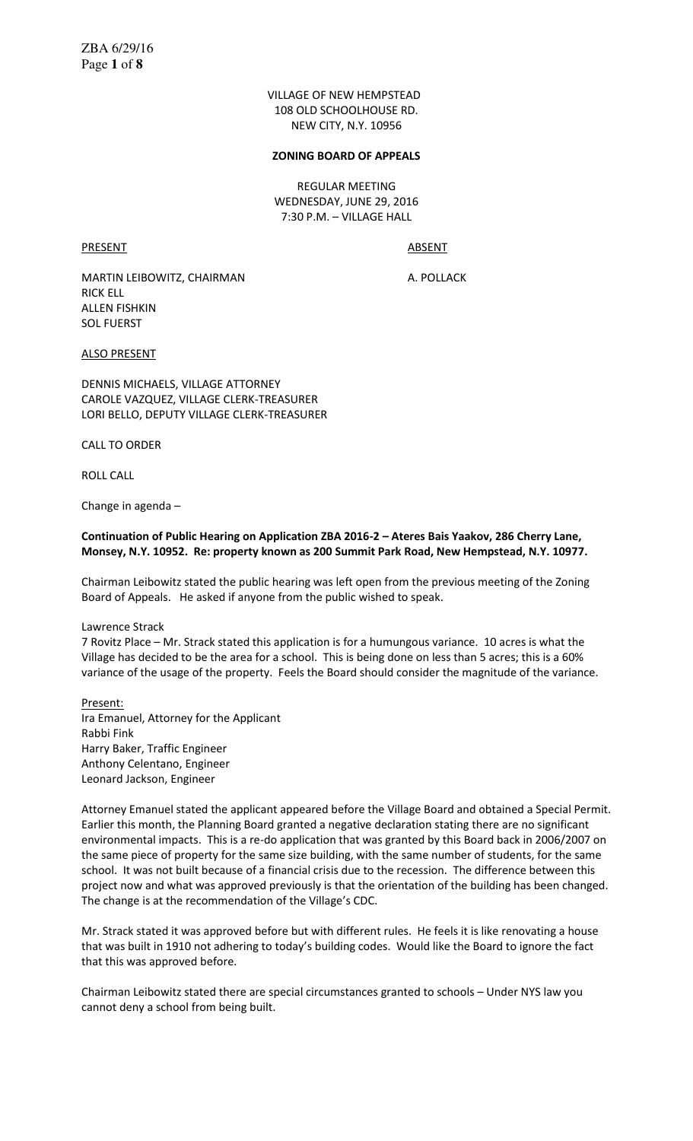VILLAGE OF NEW HEMPSTEAD 108 OLD SCHOOLHOUSE RD. NEW CITY, N.Y. 10956

#### **ZONING BOARD OF APPEALS**

REGULAR MEETING WEDNESDAY, JUNE 29, 2016 7:30 P.M. – VILLAGE HALL

PRESENT ABSENT

MARTIN LEIBOWITZ, CHAIRMAN A. POLLACK RICK ELL ALLEN FISHKIN SOL FUERST

ALSO PRESENT

DENNIS MICHAELS, VILLAGE ATTORNEY CAROLE VAZQUEZ, VILLAGE CLERK-TREASURER LORI BELLO, DEPUTY VILLAGE CLERK-TREASURER

CALL TO ORDER

ROLL CALL

Change in agenda –

## **Continuation of Public Hearing on Application ZBA 2016-2 – Ateres Bais Yaakov, 286 Cherry Lane, Monsey, N.Y. 10952. Re: property known as 200 Summit Park Road, New Hempstead, N.Y. 10977.**

Chairman Leibowitz stated the public hearing was left open from the previous meeting of the Zoning Board of Appeals. He asked if anyone from the public wished to speak.

#### Lawrence Strack

7 Rovitz Place – Mr. Strack stated this application is for a humungous variance. 10 acres is what the Village has decided to be the area for a school. This is being done on less than 5 acres; this is a 60% variance of the usage of the property. Feels the Board should consider the magnitude of the variance.

Present:

Ira Emanuel, Attorney for the Applicant Rabbi Fink Harry Baker, Traffic Engineer Anthony Celentano, Engineer Leonard Jackson, Engineer

Attorney Emanuel stated the applicant appeared before the Village Board and obtained a Special Permit. Earlier this month, the Planning Board granted a negative declaration stating there are no significant environmental impacts. This is a re-do application that was granted by this Board back in 2006/2007 on the same piece of property for the same size building, with the same number of students, for the same school. It was not built because of a financial crisis due to the recession. The difference between this project now and what was approved previously is that the orientation of the building has been changed. The change is at the recommendation of the Village's CDC.

Mr. Strack stated it was approved before but with different rules. He feels it is like renovating a house that was built in 1910 not adhering to today's building codes. Would like the Board to ignore the fact that this was approved before.

Chairman Leibowitz stated there are special circumstances granted to schools – Under NYS law you cannot deny a school from being built.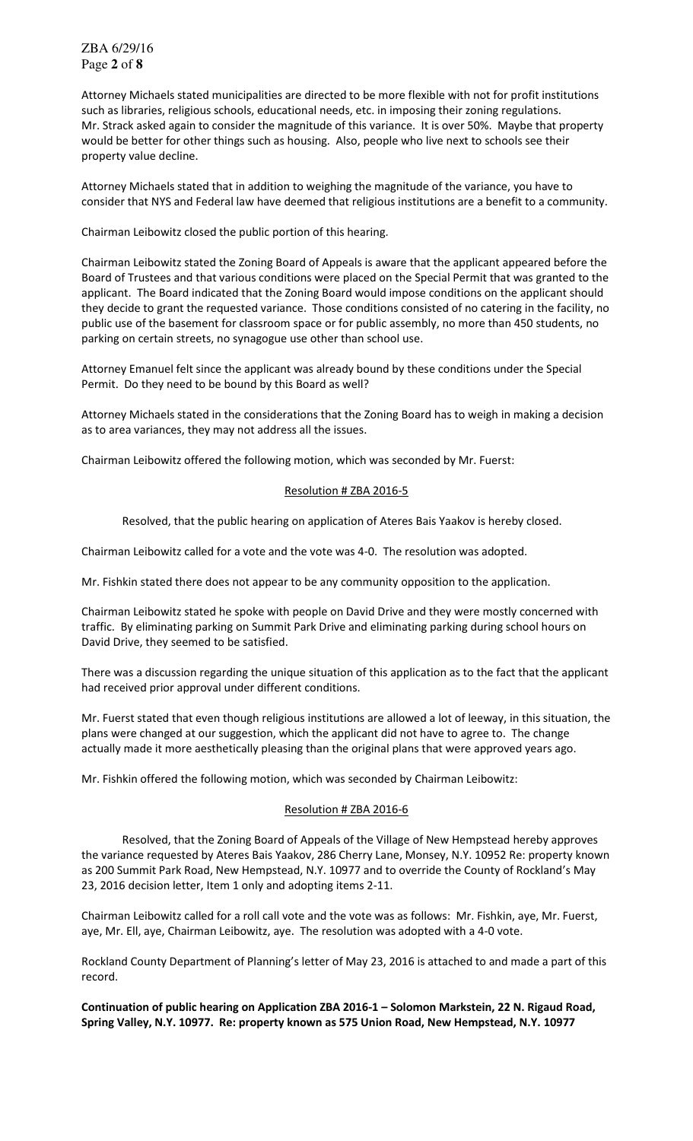Attorney Michaels stated municipalities are directed to be more flexible with not for profit institutions such as libraries, religious schools, educational needs, etc. in imposing their zoning regulations. Mr. Strack asked again to consider the magnitude of this variance. It is over 50%. Maybe that property would be better for other things such as housing. Also, people who live next to schools see their property value decline.

Attorney Michaels stated that in addition to weighing the magnitude of the variance, you have to consider that NYS and Federal law have deemed that religious institutions are a benefit to a community.

Chairman Leibowitz closed the public portion of this hearing.

Chairman Leibowitz stated the Zoning Board of Appeals is aware that the applicant appeared before the Board of Trustees and that various conditions were placed on the Special Permit that was granted to the applicant. The Board indicated that the Zoning Board would impose conditions on the applicant should they decide to grant the requested variance. Those conditions consisted of no catering in the facility, no public use of the basement for classroom space or for public assembly, no more than 450 students, no parking on certain streets, no synagogue use other than school use.

Attorney Emanuel felt since the applicant was already bound by these conditions under the Special Permit. Do they need to be bound by this Board as well?

Attorney Michaels stated in the considerations that the Zoning Board has to weigh in making a decision as to area variances, they may not address all the issues.

Chairman Leibowitz offered the following motion, which was seconded by Mr. Fuerst:

## Resolution # ZBA 2016-5

Resolved, that the public hearing on application of Ateres Bais Yaakov is hereby closed.

Chairman Leibowitz called for a vote and the vote was 4-0. The resolution was adopted.

Mr. Fishkin stated there does not appear to be any community opposition to the application.

Chairman Leibowitz stated he spoke with people on David Drive and they were mostly concerned with traffic. By eliminating parking on Summit Park Drive and eliminating parking during school hours on David Drive, they seemed to be satisfied.

There was a discussion regarding the unique situation of this application as to the fact that the applicant had received prior approval under different conditions.

Mr. Fuerst stated that even though religious institutions are allowed a lot of leeway, in this situation, the plans were changed at our suggestion, which the applicant did not have to agree to. The change actually made it more aesthetically pleasing than the original plans that were approved years ago.

Mr. Fishkin offered the following motion, which was seconded by Chairman Leibowitz:

## Resolution # ZBA 2016-6

 Resolved, that the Zoning Board of Appeals of the Village of New Hempstead hereby approves the variance requested by Ateres Bais Yaakov, 286 Cherry Lane, Monsey, N.Y. 10952 Re: property known as 200 Summit Park Road, New Hempstead, N.Y. 10977 and to override the County of Rockland's May 23, 2016 decision letter, Item 1 only and adopting items 2-11.

Chairman Leibowitz called for a roll call vote and the vote was as follows: Mr. Fishkin, aye, Mr. Fuerst, aye, Mr. Ell, aye, Chairman Leibowitz, aye. The resolution was adopted with a 4-0 vote.

Rockland County Department of Planning's letter of May 23, 2016 is attached to and made a part of this record.

**Continuation of public hearing on Application ZBA 2016-1 – Solomon Markstein, 22 N. Rigaud Road, Spring Valley, N.Y. 10977. Re: property known as 575 Union Road, New Hempstead, N.Y. 10977**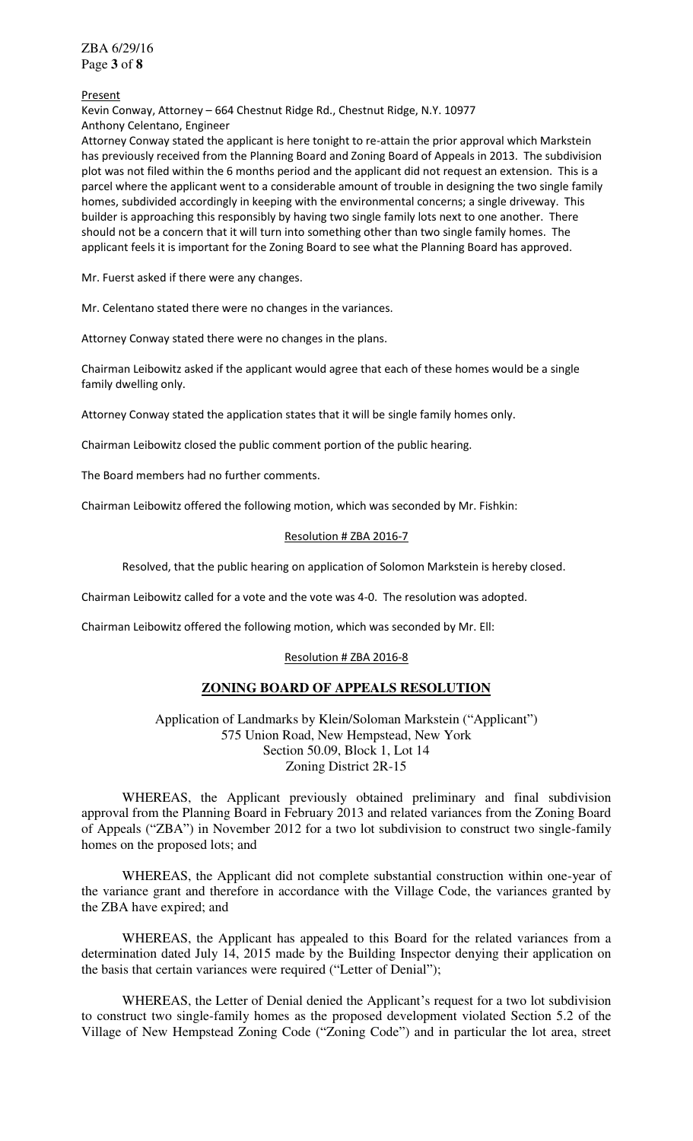ZBA 6/29/16 Page **3** of **8**

#### Present

Kevin Conway, Attorney – 664 Chestnut Ridge Rd., Chestnut Ridge, N.Y. 10977 Anthony Celentano, Engineer

Attorney Conway stated the applicant is here tonight to re-attain the prior approval which Markstein has previously received from the Planning Board and Zoning Board of Appeals in 2013. The subdivision plot was not filed within the 6 months period and the applicant did not request an extension. This is a parcel where the applicant went to a considerable amount of trouble in designing the two single family homes, subdivided accordingly in keeping with the environmental concerns; a single driveway. This builder is approaching this responsibly by having two single family lots next to one another. There should not be a concern that it will turn into something other than two single family homes. The applicant feels it is important for the Zoning Board to see what the Planning Board has approved.

Mr. Fuerst asked if there were any changes.

Mr. Celentano stated there were no changes in the variances.

Attorney Conway stated there were no changes in the plans.

Chairman Leibowitz asked if the applicant would agree that each of these homes would be a single family dwelling only.

Attorney Conway stated the application states that it will be single family homes only.

Chairman Leibowitz closed the public comment portion of the public hearing.

The Board members had no further comments.

Chairman Leibowitz offered the following motion, which was seconded by Mr. Fishkin:

## Resolution # ZBA 2016-7

Resolved, that the public hearing on application of Solomon Markstein is hereby closed.

Chairman Leibowitz called for a vote and the vote was 4-0. The resolution was adopted.

Chairman Leibowitz offered the following motion, which was seconded by Mr. Ell:

## Resolution # ZBA 2016-8

# **ZONING BOARD OF APPEALS RESOLUTION**

Application of Landmarks by Klein/Soloman Markstein ("Applicant") 575 Union Road, New Hempstead, New York Section 50.09, Block 1, Lot 14 Zoning District 2R-15

 WHEREAS, the Applicant previously obtained preliminary and final subdivision approval from the Planning Board in February 2013 and related variances from the Zoning Board of Appeals ("ZBA") in November 2012 for a two lot subdivision to construct two single-family homes on the proposed lots; and

 WHEREAS, the Applicant did not complete substantial construction within one-year of the variance grant and therefore in accordance with the Village Code, the variances granted by the ZBA have expired; and

 WHEREAS, the Applicant has appealed to this Board for the related variances from a determination dated July 14, 2015 made by the Building Inspector denying their application on the basis that certain variances were required ("Letter of Denial");

WHEREAS, the Letter of Denial denied the Applicant's request for a two lot subdivision to construct two single-family homes as the proposed development violated Section 5.2 of the Village of New Hempstead Zoning Code ("Zoning Code") and in particular the lot area, street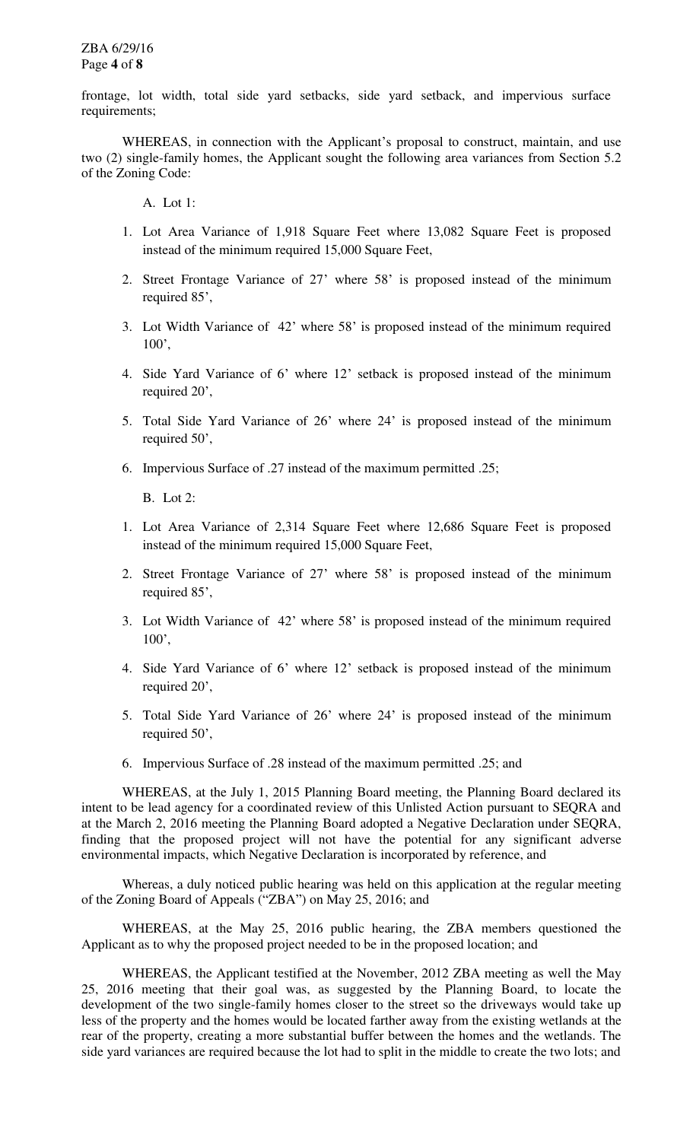frontage, lot width, total side yard setbacks, side yard setback, and impervious surface requirements;

WHEREAS, in connection with the Applicant's proposal to construct, maintain, and use two (2) single-family homes, the Applicant sought the following area variances from Section 5.2 of the Zoning Code:

A. Lot 1:

- 1. Lot Area Variance of 1,918 Square Feet where 13,082 Square Feet is proposed instead of the minimum required 15,000 Square Feet,
- 2. Street Frontage Variance of 27' where 58' is proposed instead of the minimum required 85',
- 3. Lot Width Variance of 42' where 58' is proposed instead of the minimum required 100',
- 4. Side Yard Variance of 6' where 12' setback is proposed instead of the minimum required 20',
- 5. Total Side Yard Variance of 26' where 24' is proposed instead of the minimum required 50',
- 6. Impervious Surface of .27 instead of the maximum permitted .25;

B. Lot 2:

- 1. Lot Area Variance of 2,314 Square Feet where 12,686 Square Feet is proposed instead of the minimum required 15,000 Square Feet,
- 2. Street Frontage Variance of 27' where 58' is proposed instead of the minimum required 85',
- 3. Lot Width Variance of 42' where 58' is proposed instead of the minimum required 100',
- 4. Side Yard Variance of 6' where 12' setback is proposed instead of the minimum required 20',
- 5. Total Side Yard Variance of 26' where 24' is proposed instead of the minimum required 50',
- 6. Impervious Surface of .28 instead of the maximum permitted .25; and

 WHEREAS, at the July 1, 2015 Planning Board meeting, the Planning Board declared its intent to be lead agency for a coordinated review of this Unlisted Action pursuant to SEQRA and at the March 2, 2016 meeting the Planning Board adopted a Negative Declaration under SEQRA, finding that the proposed project will not have the potential for any significant adverse environmental impacts, which Negative Declaration is incorporated by reference, and

Whereas, a duly noticed public hearing was held on this application at the regular meeting of the Zoning Board of Appeals ("ZBA") on May 25, 2016; and

 WHEREAS, at the May 25, 2016 public hearing, the ZBA members questioned the Applicant as to why the proposed project needed to be in the proposed location; and

 WHEREAS, the Applicant testified at the November, 2012 ZBA meeting as well the May 25, 2016 meeting that their goal was, as suggested by the Planning Board, to locate the development of the two single-family homes closer to the street so the driveways would take up less of the property and the homes would be located farther away from the existing wetlands at the rear of the property, creating a more substantial buffer between the homes and the wetlands. The side yard variances are required because the lot had to split in the middle to create the two lots; and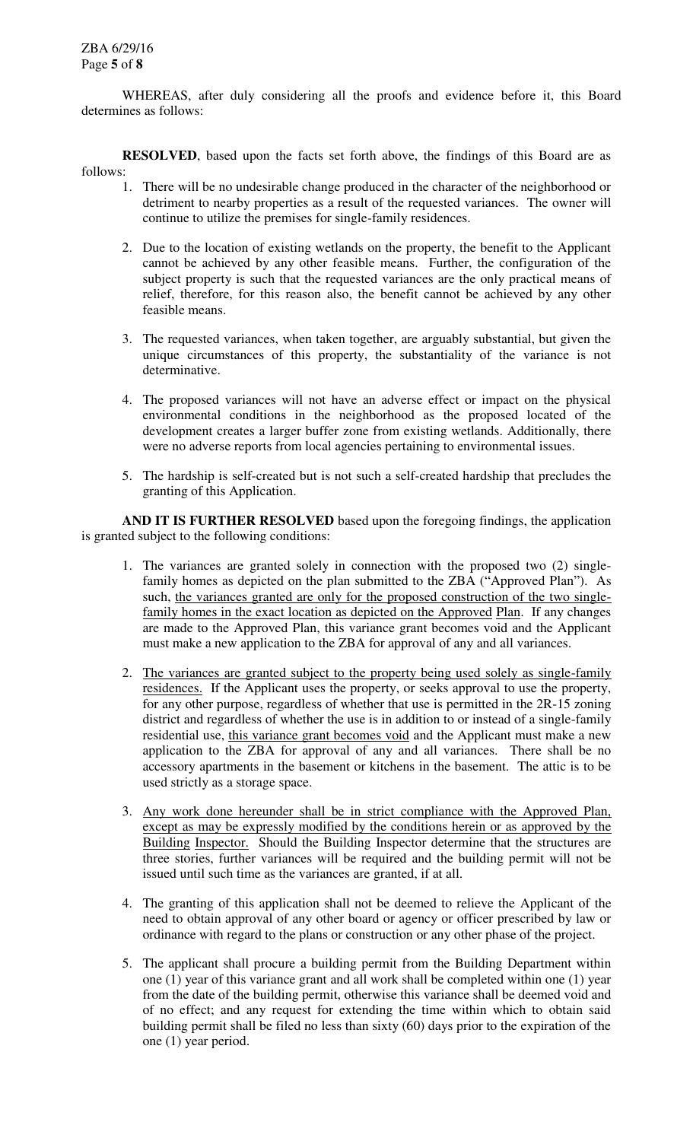WHEREAS, after duly considering all the proofs and evidence before it, this Board determines as follows:

**RESOLVED**, based upon the facts set forth above, the findings of this Board are as follows:

- 1. There will be no undesirable change produced in the character of the neighborhood or detriment to nearby properties as a result of the requested variances. The owner will continue to utilize the premises for single-family residences.
- 2. Due to the location of existing wetlands on the property, the benefit to the Applicant cannot be achieved by any other feasible means. Further, the configuration of the subject property is such that the requested variances are the only practical means of relief, therefore, for this reason also, the benefit cannot be achieved by any other feasible means.
- 3. The requested variances, when taken together, are arguably substantial, but given the unique circumstances of this property, the substantiality of the variance is not determinative.
- 4. The proposed variances will not have an adverse effect or impact on the physical environmental conditions in the neighborhood as the proposed located of the development creates a larger buffer zone from existing wetlands. Additionally, there were no adverse reports from local agencies pertaining to environmental issues.
- 5. The hardship is self-created but is not such a self-created hardship that precludes the granting of this Application.

**AND IT IS FURTHER RESOLVED** based upon the foregoing findings, the application is granted subject to the following conditions:

- 1. The variances are granted solely in connection with the proposed two (2) singlefamily homes as depicted on the plan submitted to the ZBA ("Approved Plan"). As such, the variances granted are only for the proposed construction of the two singlefamily homes in the exact location as depicted on the Approved Plan. If any changes are made to the Approved Plan, this variance grant becomes void and the Applicant must make a new application to the ZBA for approval of any and all variances.
- 2. The variances are granted subject to the property being used solely as single-family residences. If the Applicant uses the property, or seeks approval to use the property, for any other purpose, regardless of whether that use is permitted in the 2R-15 zoning district and regardless of whether the use is in addition to or instead of a single-family residential use, this variance grant becomes void and the Applicant must make a new application to the ZBA for approval of any and all variances. There shall be no accessory apartments in the basement or kitchens in the basement. The attic is to be used strictly as a storage space.
- 3. Any work done hereunder shall be in strict compliance with the Approved Plan, except as may be expressly modified by the conditions herein or as approved by the Building Inspector. Should the Building Inspector determine that the structures are three stories, further variances will be required and the building permit will not be issued until such time as the variances are granted, if at all.
- 4. The granting of this application shall not be deemed to relieve the Applicant of the need to obtain approval of any other board or agency or officer prescribed by law or ordinance with regard to the plans or construction or any other phase of the project.
- 5. The applicant shall procure a building permit from the Building Department within one (1) year of this variance grant and all work shall be completed within one (1) year from the date of the building permit, otherwise this variance shall be deemed void and of no effect; and any request for extending the time within which to obtain said building permit shall be filed no less than sixty (60) days prior to the expiration of the one (1) year period.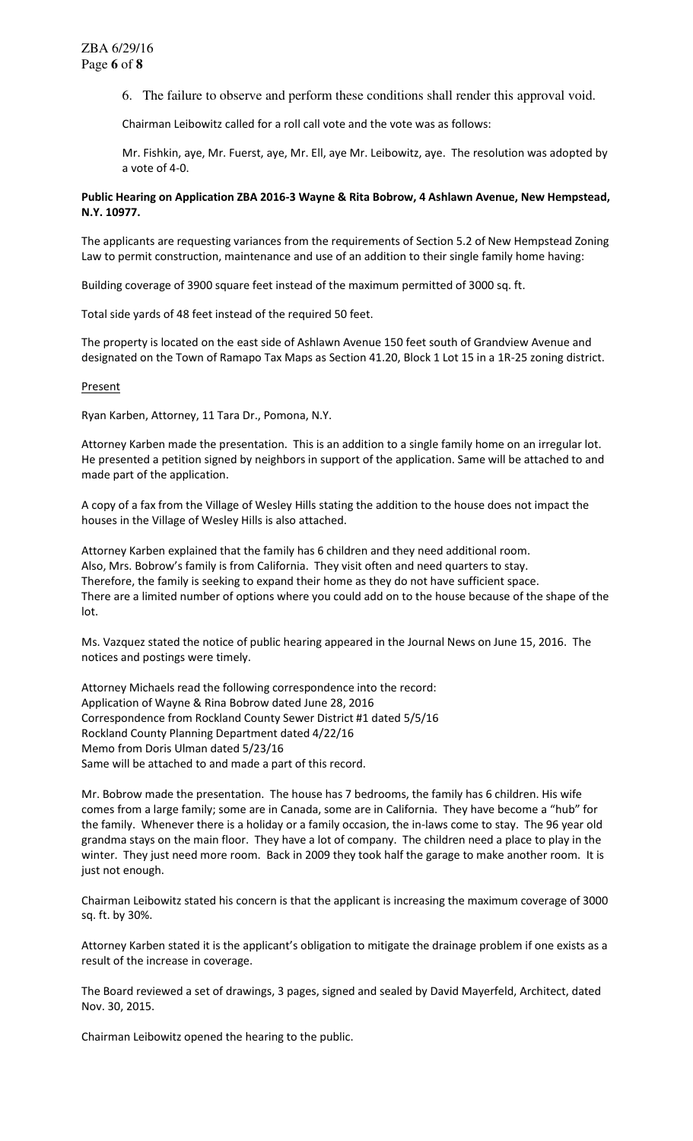6. The failure to observe and perform these conditions shall render this approval void.

Chairman Leibowitz called for a roll call vote and the vote was as follows:

Mr. Fishkin, aye, Mr. Fuerst, aye, Mr. Ell, aye Mr. Leibowitz, aye. The resolution was adopted by a vote of 4-0.

## **Public Hearing on Application ZBA 2016-3 Wayne & Rita Bobrow, 4 Ashlawn Avenue, New Hempstead, N.Y. 10977.**

The applicants are requesting variances from the requirements of Section 5.2 of New Hempstead Zoning Law to permit construction, maintenance and use of an addition to their single family home having:

Building coverage of 3900 square feet instead of the maximum permitted of 3000 sq. ft.

Total side yards of 48 feet instead of the required 50 feet.

The property is located on the east side of Ashlawn Avenue 150 feet south of Grandview Avenue and designated on the Town of Ramapo Tax Maps as Section 41.20, Block 1 Lot 15 in a 1R-25 zoning district.

## Present

Ryan Karben, Attorney, 11 Tara Dr., Pomona, N.Y.

Attorney Karben made the presentation. This is an addition to a single family home on an irregular lot. He presented a petition signed by neighbors in support of the application. Same will be attached to and made part of the application.

A copy of a fax from the Village of Wesley Hills stating the addition to the house does not impact the houses in the Village of Wesley Hills is also attached.

Attorney Karben explained that the family has 6 children and they need additional room. Also, Mrs. Bobrow's family is from California. They visit often and need quarters to stay. Therefore, the family is seeking to expand their home as they do not have sufficient space. There are a limited number of options where you could add on to the house because of the shape of the lot.

Ms. Vazquez stated the notice of public hearing appeared in the Journal News on June 15, 2016. The notices and postings were timely.

Attorney Michaels read the following correspondence into the record: Application of Wayne & Rina Bobrow dated June 28, 2016 Correspondence from Rockland County Sewer District #1 dated 5/5/16 Rockland County Planning Department dated 4/22/16 Memo from Doris Ulman dated 5/23/16 Same will be attached to and made a part of this record.

Mr. Bobrow made the presentation. The house has 7 bedrooms, the family has 6 children. His wife comes from a large family; some are in Canada, some are in California. They have become a "hub" for the family. Whenever there is a holiday or a family occasion, the in-laws come to stay. The 96 year old grandma stays on the main floor. They have a lot of company. The children need a place to play in the winter. They just need more room. Back in 2009 they took half the garage to make another room. It is just not enough.

Chairman Leibowitz stated his concern is that the applicant is increasing the maximum coverage of 3000 sq. ft. by 30%.

Attorney Karben stated it is the applicant's obligation to mitigate the drainage problem if one exists as a result of the increase in coverage.

The Board reviewed a set of drawings, 3 pages, signed and sealed by David Mayerfeld, Architect, dated Nov. 30, 2015.

Chairman Leibowitz opened the hearing to the public.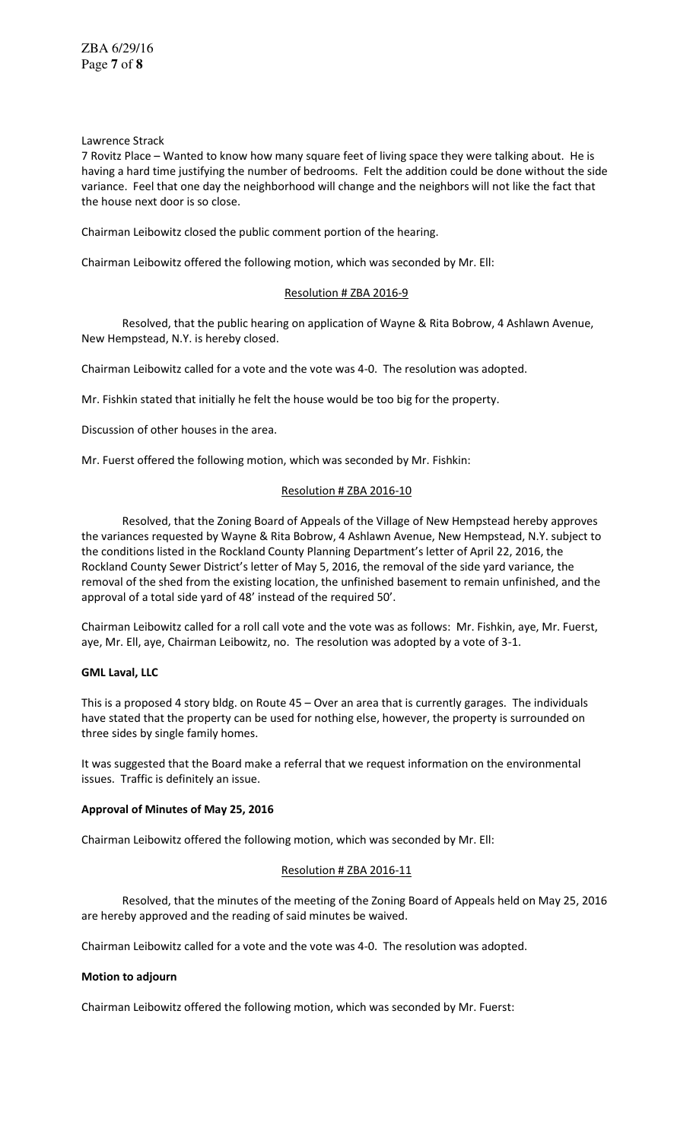Lawrence Strack

7 Rovitz Place – Wanted to know how many square feet of living space they were talking about. He is having a hard time justifying the number of bedrooms. Felt the addition could be done without the side variance. Feel that one day the neighborhood will change and the neighbors will not like the fact that the house next door is so close.

Chairman Leibowitz closed the public comment portion of the hearing.

Chairman Leibowitz offered the following motion, which was seconded by Mr. Ell:

## Resolution # ZBA 2016-9

 Resolved, that the public hearing on application of Wayne & Rita Bobrow, 4 Ashlawn Avenue, New Hempstead, N.Y. is hereby closed.

Chairman Leibowitz called for a vote and the vote was 4-0. The resolution was adopted.

Mr. Fishkin stated that initially he felt the house would be too big for the property.

Discussion of other houses in the area.

Mr. Fuerst offered the following motion, which was seconded by Mr. Fishkin:

## Resolution # ZBA 2016-10

 Resolved, that the Zoning Board of Appeals of the Village of New Hempstead hereby approves the variances requested by Wayne & Rita Bobrow, 4 Ashlawn Avenue, New Hempstead, N.Y. subject to the conditions listed in the Rockland County Planning Department's letter of April 22, 2016, the Rockland County Sewer District's letter of May 5, 2016, the removal of the side yard variance, the removal of the shed from the existing location, the unfinished basement to remain unfinished, and the approval of a total side yard of 48' instead of the required 50'.

Chairman Leibowitz called for a roll call vote and the vote was as follows: Mr. Fishkin, aye, Mr. Fuerst, aye, Mr. Ell, aye, Chairman Leibowitz, no. The resolution was adopted by a vote of 3-1.

## **GML Laval, LLC**

This is a proposed 4 story bldg. on Route 45 – Over an area that is currently garages. The individuals have stated that the property can be used for nothing else, however, the property is surrounded on three sides by single family homes.

It was suggested that the Board make a referral that we request information on the environmental issues. Traffic is definitely an issue.

## **Approval of Minutes of May 25, 2016**

Chairman Leibowitz offered the following motion, which was seconded by Mr. Ell:

## Resolution # ZBA 2016-11

 Resolved, that the minutes of the meeting of the Zoning Board of Appeals held on May 25, 2016 are hereby approved and the reading of said minutes be waived.

Chairman Leibowitz called for a vote and the vote was 4-0. The resolution was adopted.

## **Motion to adjourn**

Chairman Leibowitz offered the following motion, which was seconded by Mr. Fuerst: